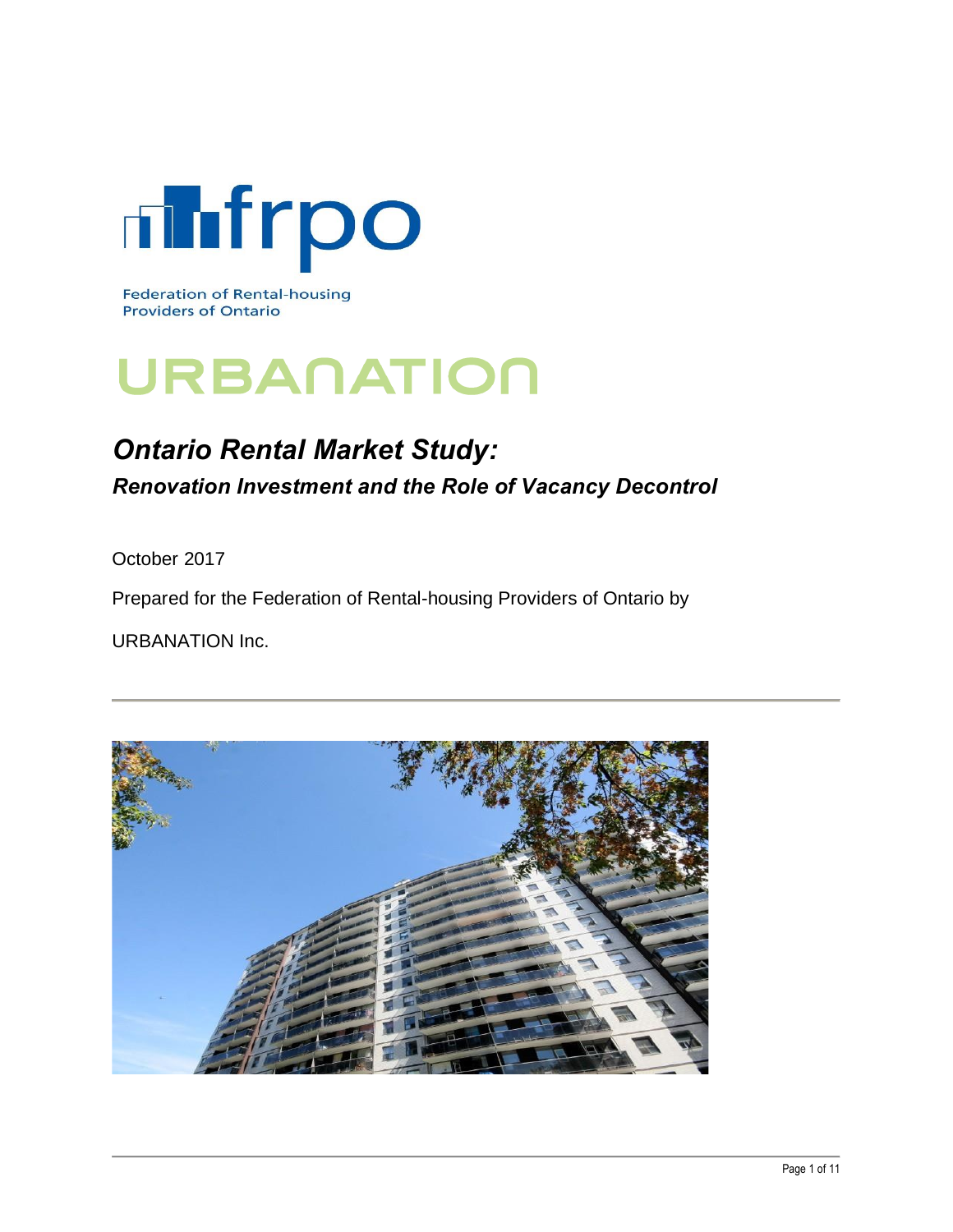

**Federation of Rental-housing Providers of Ontario** 

# URBANATION

# *Ontario Rental Market Study: Renovation Investment and the Role of Vacancy Decontrol*

October 2017

Prepared for the Federation of Rental-housing Providers of Ontario by

URBANATION Inc.

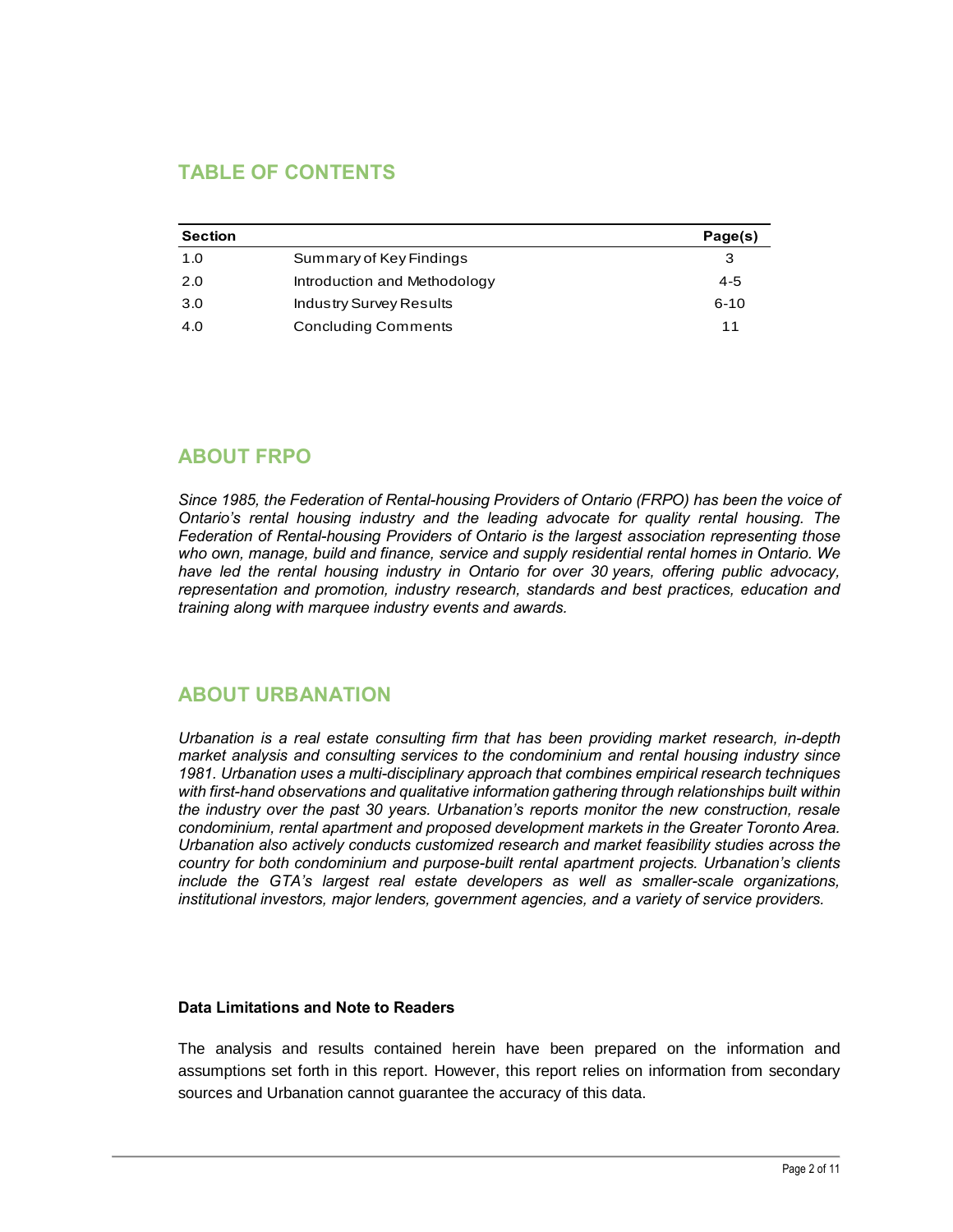# **TABLE OF CONTENTS**

| <b>Section</b> |                                | Page(s)  |
|----------------|--------------------------------|----------|
| 1.0            | Summary of Key Findings        | 3        |
| 2.0            | Introduction and Methodology   | 4-5      |
| 3.0            | <b>Industry Survey Results</b> | $6 - 10$ |
| 4.0            | <b>Concluding Comments</b>     | 11       |

# **ABOUT FRPO**

*Since 1985, the Federation of Rental-housing Providers of Ontario (FRPO) has been the voice of Ontario's rental housing industry and the leading advocate for quality rental housing. The Federation of Rental-housing Providers of Ontario is the largest association representing those who own, manage, build and finance, service and supply residential rental homes in Ontario. We have led the rental housing industry in Ontario for over 30 years, offering public advocacy, representation and promotion, industry research, standards and best practices, education and training along with marquee industry events and awards.*

#### **ABOUT URBANATION**

*Urbanation is a real estate consulting firm that has been providing market research, in-depth market analysis and consulting services to the condominium and rental housing industry since 1981. Urbanation uses a multi-disciplinary approach that combines empirical research techniques with first-hand observations and qualitative information gathering through relationships built within the industry over the past 30 years. Urbanation's reports monitor the new construction, resale condominium, rental apartment and proposed development markets in the Greater Toronto Area. Urbanation also actively conducts customized research and market feasibility studies across the country for both condominium and purpose-built rental apartment projects. Urbanation's clients include the GTA's largest real estate developers as well as smaller-scale organizations, institutional investors, major lenders, government agencies, and a variety of service providers.*

#### **Data Limitations and Note to Readers**

The analysis and results contained herein have been prepared on the information and assumptions set forth in this report. However, this report relies on information from secondary sources and Urbanation cannot guarantee the accuracy of this data.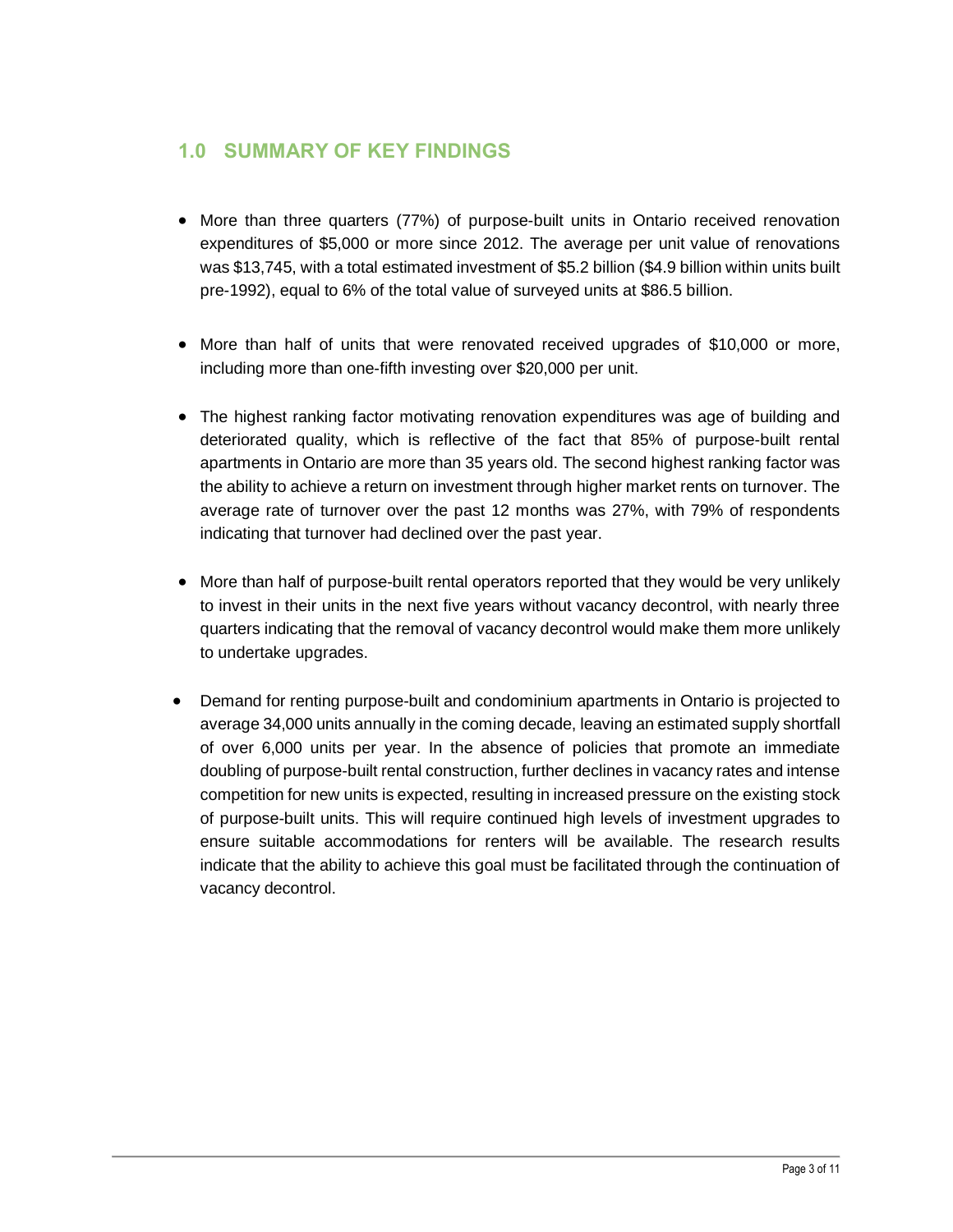# **1.0 SUMMARY OF KEY FINDINGS**

- More than three quarters (77%) of purpose-built units in Ontario received renovation expenditures of \$5,000 or more since 2012. The average per unit value of renovations was \$13,745, with a total estimated investment of \$5.2 billion (\$4.9 billion within units built pre-1992), equal to 6% of the total value of surveyed units at \$86.5 billion.
- · More than half of units that were renovated received upgrades of \$10,000 or more, including more than one-fifth investing over \$20,000 per unit.
- The highest ranking factor motivating renovation expenditures was age of building and deteriorated quality, which is reflective of the fact that 85% of purpose-built rental apartments in Ontario are more than 35 years old. The second highest ranking factor was the ability to achieve a return on investment through higher market rents on turnover. The average rate of turnover over the past 12 months was 27%, with 79% of respondents indicating that turnover had declined over the past year.
- More than half of purpose-built rental operators reported that they would be very unlikely to invest in their units in the next five years without vacancy decontrol, with nearly three quarters indicating that the removal of vacancy decontrol would make them more unlikely to undertake upgrades.
- Demand for renting purpose-built and condominium apartments in Ontario is projected to average 34,000 units annually in the coming decade, leaving an estimated supply shortfall of over 6,000 units per year. In the absence of policies that promote an immediate doubling of purpose-built rental construction, further declines in vacancy rates and intense competition for new units is expected, resulting in increased pressure on the existing stock of purpose-built units. This will require continued high levels of investment upgrades to ensure suitable accommodations for renters will be available. The research results indicate that the ability to achieve this goal must be facilitated through the continuation of vacancy decontrol.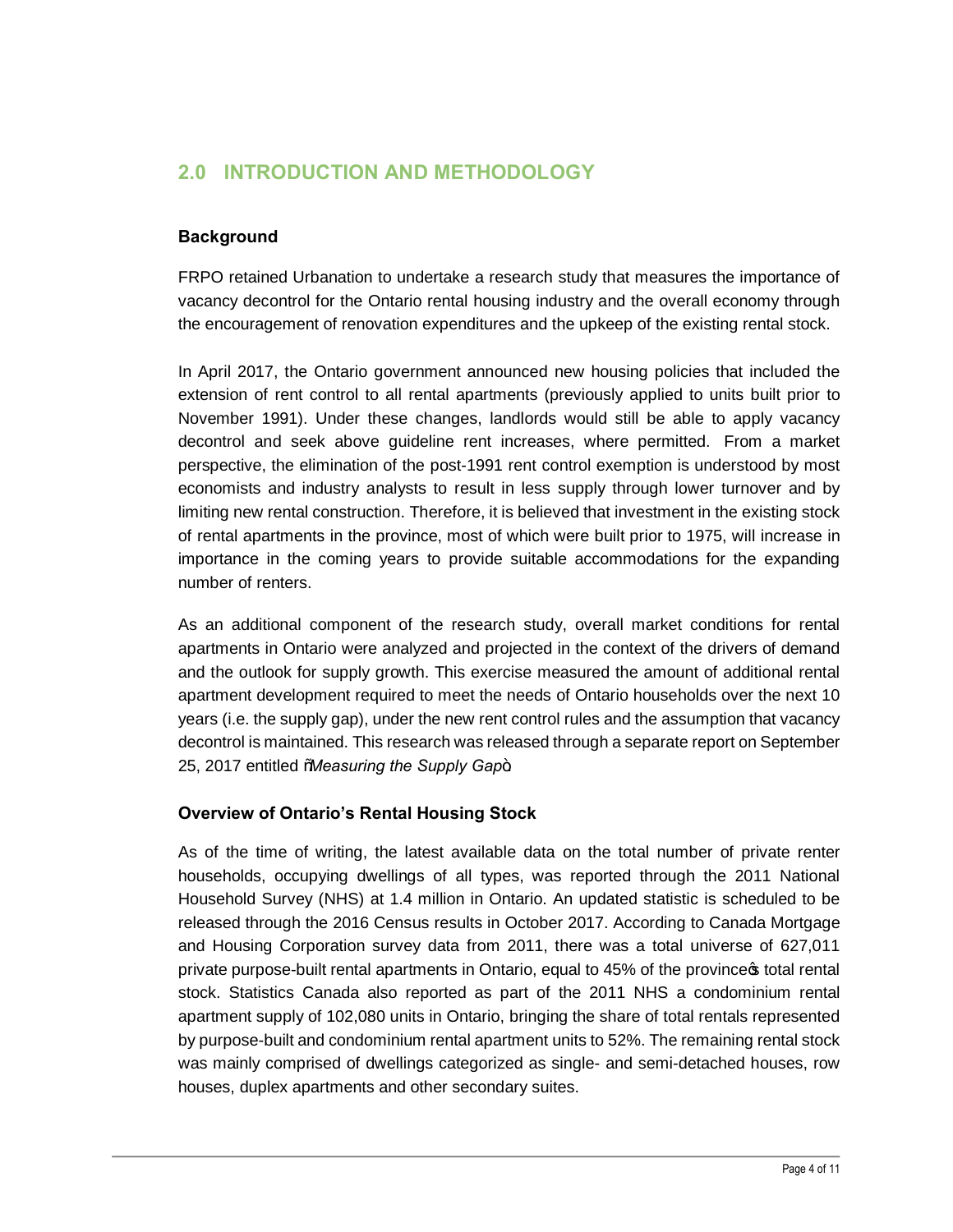# **2.0 INTRODUCTION AND METHODOLOGY**

#### **Background**

FRPO retained Urbanation to undertake a research study that measures the importance of vacancy decontrol for the Ontario rental housing industry and the overall economy through the encouragement of renovation expenditures and the upkeep of the existing rental stock.

In April 2017, the Ontario government announced new housing policies that included the extension of rent control to all rental apartments (previously applied to units built prior to November 1991). Under these changes, landlords would still be able to apply vacancy decontrol and seek above guideline rent increases, where permitted. From a market perspective, the elimination of the post-1991 rent control exemption is understood by most economists and industry analysts to result in less supply through lower turnover and by limiting new rental construction. Therefore, it is believed that investment in the existing stock of rental apartments in the province, most of which were built prior to 1975, will increase in importance in the coming years to provide suitable accommodations for the expanding number of renters.

As an additional component of the research study, overall market conditions for rental apartments in Ontario were analyzed and projected in the context of the drivers of demand and the outlook for supply growth. This exercise measured the amount of additional rental apartment development required to meet the needs of Ontario households over the next 10 years (i.e. the supply gap), under the new rent control rules and the assumption that vacancy decontrol is maintained. This research was released through a separate report on September 25, 2017 entitled *Maleasuring the Supply Gap+*.

#### **Overview of Ontario's Rental Housing Stock**

As of the time of writing, the latest available data on the total number of private renter households, occupying dwellings of all types, was reported through the 2011 National Household Survey (NHS) at 1.4 million in Ontario. An updated statistic is scheduled to be released through the 2016 Census results in October 2017. According to Canada Mortgage and Housing Corporation survey data from 2011, there was a total universe of 627,011 private purpose-built rental apartments in Ontario, equal to 45% of the province total rental stock. Statistics Canada also reported as part of the 2011 NHS a condominium rental apartment supply of 102,080 units in Ontario, bringing the share of total rentals represented by purpose-built and condominium rental apartment units to 52%. The remaining rental stock was mainly comprised of dwellings categorized as single- and semi-detached houses, row houses, duplex apartments and other secondary suites.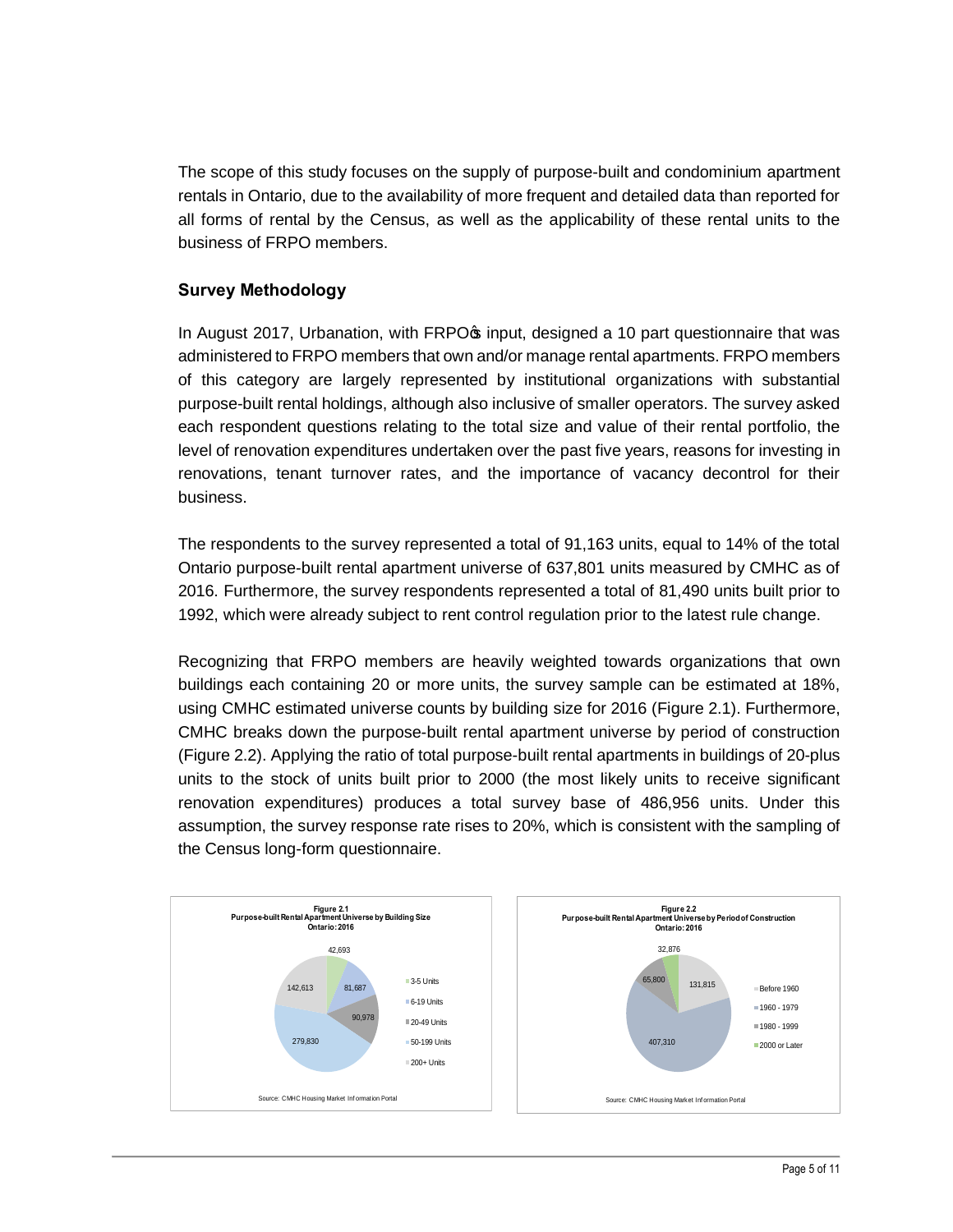The scope of this study focuses on the supply of purpose-built and condominium apartment rentals in Ontario, due to the availability of more frequent and detailed data than reported for all forms of rental by the Census, as well as the applicability of these rental units to the business of FRPO members.

#### **Survey Methodology**

In August 2017, Urbanation, with FRPO<sub>\pp</sub> input, designed a 10 part questionnaire that was administered to FRPO members that own and/or manage rental apartments. FRPO members of this category are largely represented by institutional organizations with substantial purpose-built rental holdings, although also inclusive of smaller operators. The survey asked each respondent questions relating to the total size and value of their rental portfolio, the level of renovation expenditures undertaken over the past five years, reasons for investing in renovations, tenant turnover rates, and the importance of vacancy decontrol for their business.

The respondents to the survey represented a total of 91,163 units, equal to 14% of the total Ontario purpose-built rental apartment universe of 637,801 units measured by CMHC as of 2016. Furthermore, the survey respondents represented a total of 81,490 units built prior to 1992, which were already subject to rent control regulation prior to the latest rule change.

Recognizing that FRPO members are heavily weighted towards organizations that own buildings each containing 20 or more units, the survey sample can be estimated at 18%, using CMHC estimated universe counts by building size for 2016 (Figure 2.1). Furthermore, CMHC breaks down the purpose-built rental apartment universe by period of construction (Figure 2.2). Applying the ratio of total purpose-built rental apartments in buildings of 20-plus units to the stock of units built prior to 2000 (the most likely units to receive significant renovation expenditures) produces a total survey base of 486,956 units. Under this assumption, the survey response rate rises to 20%, which is consistent with the sampling of the Census long-form questionnaire.



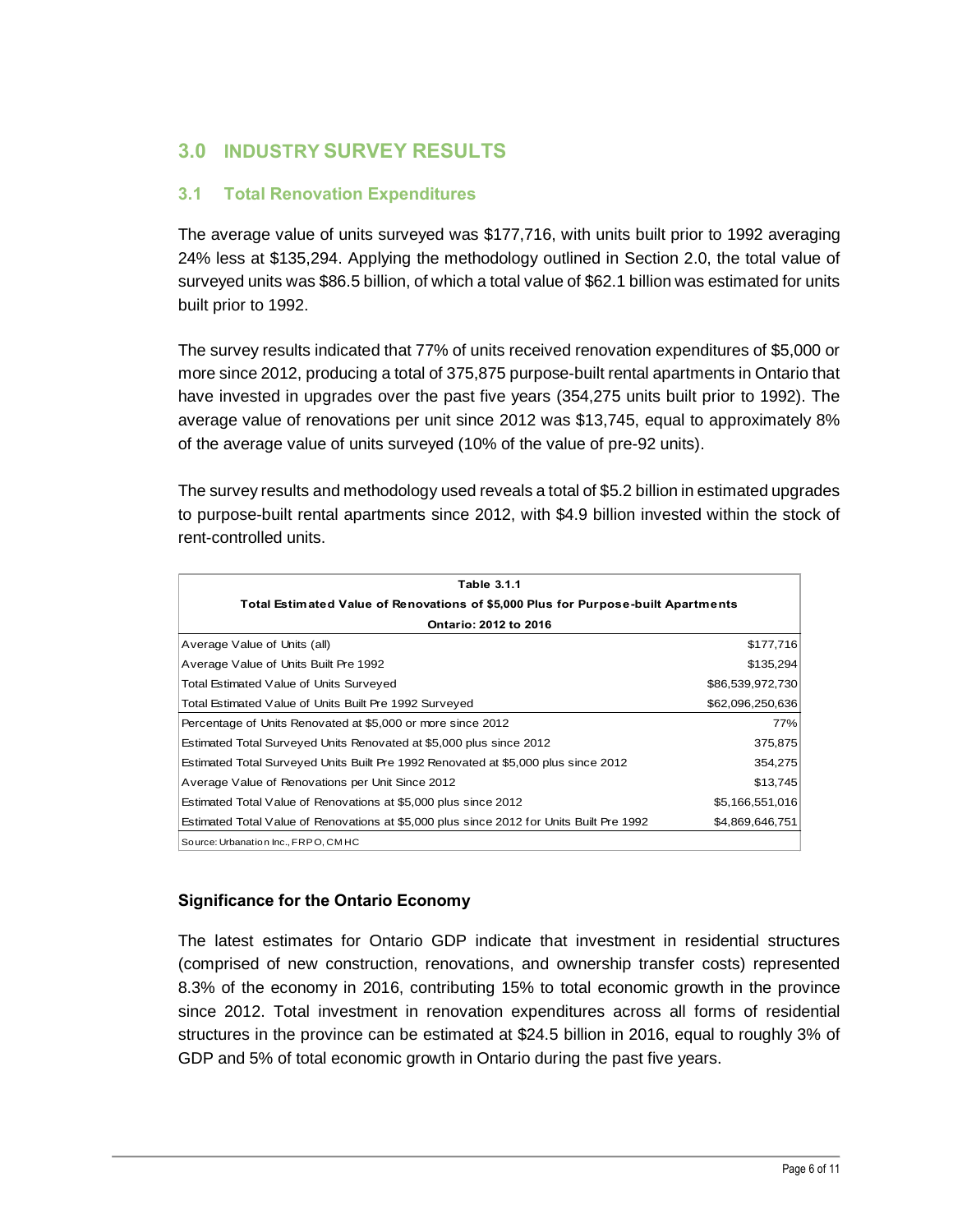## **3.0 INDUSTRY SURVEY RESULTS**

#### **3.1 Total Renovation Expenditures**

The average value of units surveyed was \$177,716, with units built prior to 1992 averaging 24% less at \$135,294. Applying the methodology outlined in Section 2.0, the total value of surveyed units was \$86.5 billion, of which a total value of \$62.1 billion was estimated for units built prior to 1992.

The survey results indicated that 77% of units received renovation expenditures of \$5,000 or more since 2012, producing a total of 375,875 purpose-built rental apartments in Ontario that have invested in upgrades over the past five years (354,275 units built prior to 1992). The average value of renovations per unit since 2012 was \$13,745, equal to approximately 8% of the average value of units surveyed (10% of the value of pre-92 units).

The survey results and methodology used reveals a total of \$5.2 billion in estimated upgrades to purpose-built rental apartments since 2012, with \$4.9 billion invested within the stock of rent-controlled units.

| Table 3.1.1                                                                              |                  |  |  |  |
|------------------------------------------------------------------------------------------|------------------|--|--|--|
| Total Estimated Value of Renovations of \$5,000 Plus for Purpose-built Apartments        |                  |  |  |  |
| Ontario: 2012 to 2016                                                                    |                  |  |  |  |
| Average Value of Units (all)                                                             | \$177,716        |  |  |  |
| Average Value of Units Built Pre 1992                                                    | \$135,294        |  |  |  |
| Total Estimated Value of Units Surveyed                                                  | \$86,539,972,730 |  |  |  |
| Total Estimated Value of Units Built Pre 1992 Surveyed                                   | \$62,096,250,636 |  |  |  |
| Percentage of Units Renovated at \$5,000 or more since 2012                              | 77%              |  |  |  |
| Estimated Total Surveyed Units Renovated at \$5,000 plus since 2012                      | 375,875          |  |  |  |
| Estimated Total Surveyed Units Built Pre 1992 Renovated at \$5,000 plus since 2012       | 354,275          |  |  |  |
| Average Value of Renovations per Unit Since 2012                                         | \$13,745         |  |  |  |
| Estimated Total Value of Renovations at \$5,000 plus since 2012                          | \$5,166,551,016  |  |  |  |
| Estimated Total Value of Renovations at \$5,000 plus since 2012 for Units Built Pre 1992 | \$4,869,646,751  |  |  |  |
| Source: Urbanation Inc., FRPO, CMHC                                                      |                  |  |  |  |

#### **Significance for the Ontario Economy**

The latest estimates for Ontario GDP indicate that investment in residential structures (comprised of new construction, renovations, and ownership transfer costs) represented 8.3% of the economy in 2016, contributing 15% to total economic growth in the province since 2012. Total investment in renovation expenditures across all forms of residential structures in the province can be estimated at \$24.5 billion in 2016, equal to roughly 3% of GDP and 5% of total economic growth in Ontario during the past five years.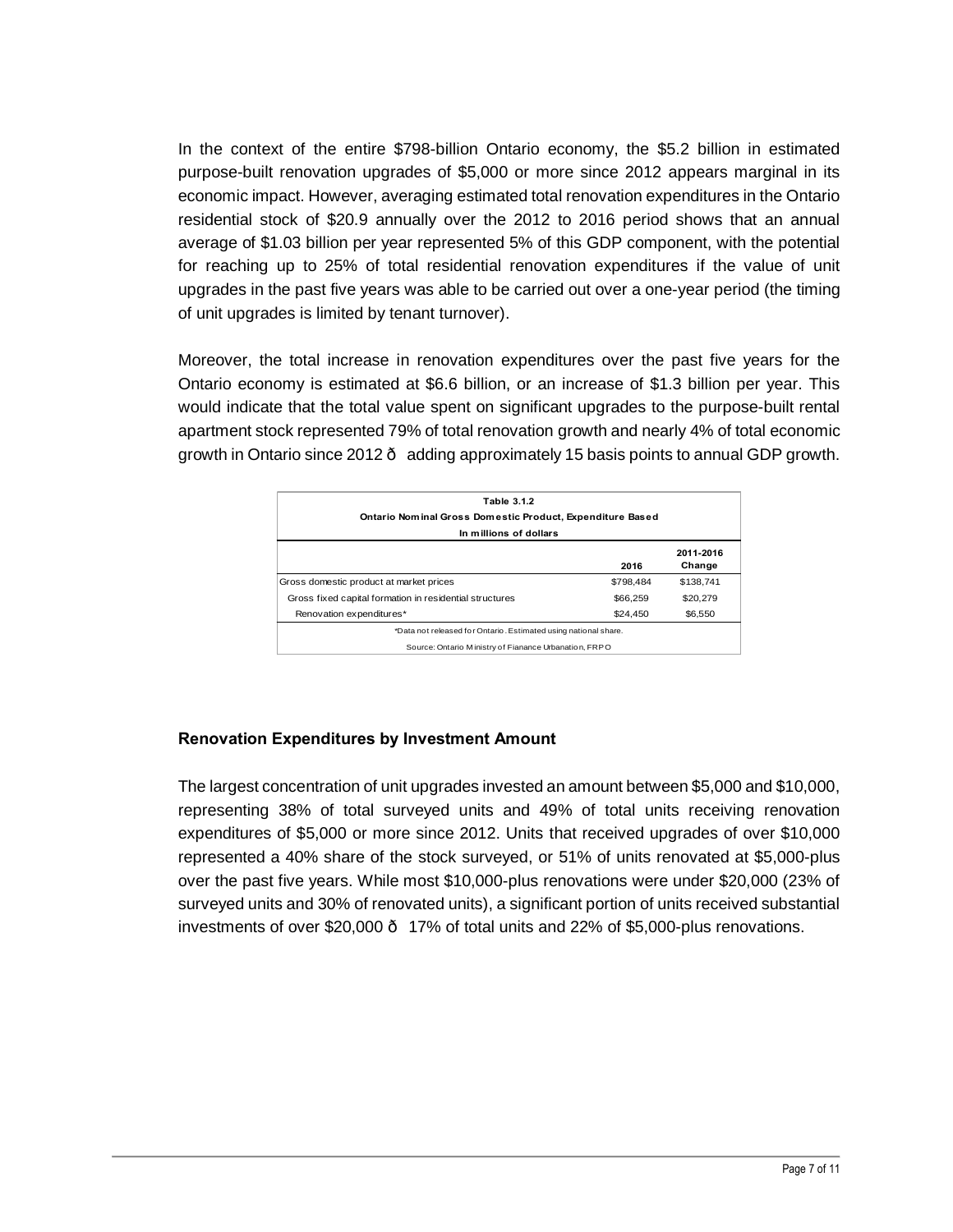In the context of the entire \$798-billion Ontario economy, the \$5.2 billion in estimated purpose-built renovation upgrades of \$5,000 or more since 2012 appears marginal in its economic impact. However, averaging estimated total renovation expenditures in the Ontario residential stock of \$20.9 annually over the 2012 to 2016 period shows that an annual average of \$1.03 billion per year represented 5% of this GDP component, with the potential for reaching up to 25% of total residential renovation expenditures if the value of unit upgrades in the past five years was able to be carried out over a one-year period (the timing of unit upgrades is limited by tenant turnover).

Moreover, the total increase in renovation expenditures over the past five years for the Ontario economy is estimated at \$6.6 billion, or an increase of \$1.3 billion per year. This would indicate that the total value spent on significant upgrades to the purpose-built rental apartment stock represented 79% of total renovation growth and nearly 4% of total economic growth in Ontario since 2012 · adding approximately 15 basis points to annual GDP growth.

| Table 3.1.2<br>Ontario Nominal Gross Domestic Product, Expenditure Based<br>In millions of dollars |           |           |  |  |
|----------------------------------------------------------------------------------------------------|-----------|-----------|--|--|
|                                                                                                    |           |           |  |  |
| Gross domestic product at market prices                                                            | \$798.484 | \$138.741 |  |  |
| Gross fixed capital formation in residential structures                                            | \$66,259  | \$20,279  |  |  |
| Renovation expenditures*                                                                           | \$24,450  | \$6,550   |  |  |
| *Data not released for Ontario. Estimated using national share.                                    |           |           |  |  |
| Source: Ontario Ministry of Fianance Urbanation, FRPO                                              |           |           |  |  |

#### **Renovation Expenditures by Investment Amount**

The largest concentration of unit upgrades invested an amount between \$5,000 and \$10,000, representing 38% of total surveyed units and 49% of total units receiving renovation expenditures of \$5,000 or more since 2012. Units that received upgrades of over \$10,000 represented a 40% share of the stock surveyed, or 51% of units renovated at \$5,000-plus over the past five years. While most \$10,000-plus renovations were under \$20,000 (23% of surveyed units and 30% of renovated units), a significant portion of units received substantial investments of over \$20,000 — 17% of total units and 22% of \$5,000-plus renovations.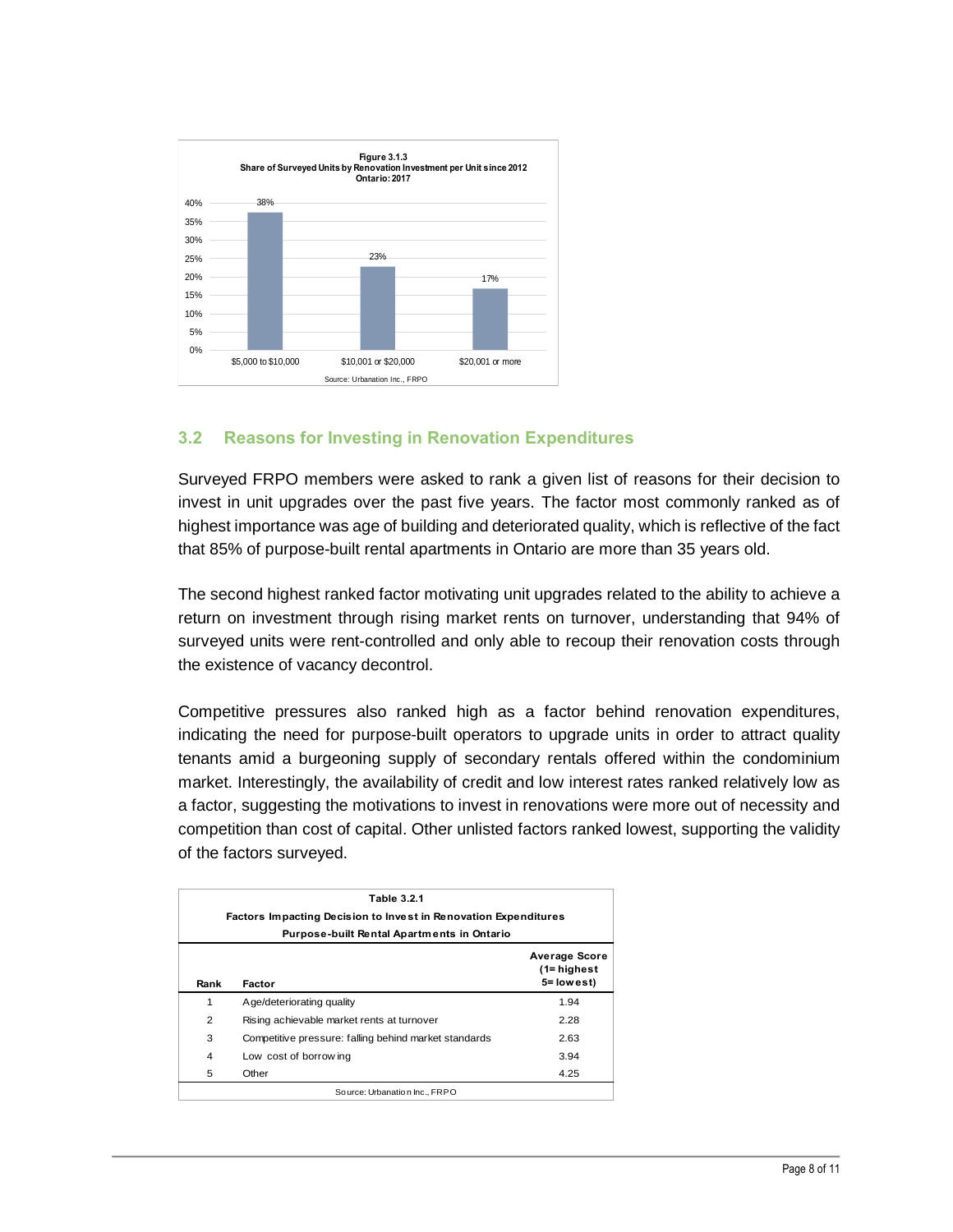

#### **3.2 Reasons for Investing in Renovation Expenditures**

Surveyed FRPO members were asked to rank a given list of reasons for their decision to invest in unit upgrades over the past five years. The factor most commonly ranked as of highest importance was age of building and deteriorated quality, which is reflective of the fact that 85% of purpose-built rental apartments in Ontario are more than 35 years old.

The second highest ranked factor motivating unit upgrades related to the ability to achieve a return on investment through rising market rents on turnover, understanding that 94% of surveyed units were rent-controlled and only able to recoup their renovation costs through the existence of vacancy decontrol.

Competitive pressures also ranked high as a factor behind renovation expenditures, indicating the need for purpose-built operators to upgrade units in order to attract quality tenants amid a burgeoning supply of secondary rentals offered within the condominium market. Interestingly, the availability of credit and low interest rates ranked relatively low as a factor, suggesting the motivations to invest in renovations were more out of necessity and competition than cost of capital. Other unlisted factors ranked lowest, supporting the validity of the factors surveyed.

| <b>Table 3.2.1</b>                                |                                                                 |                                               |  |  |  |
|---------------------------------------------------|-----------------------------------------------------------------|-----------------------------------------------|--|--|--|
|                                                   | Factors Impacting Decision to Invest in Renovation Expenditures |                                               |  |  |  |
| <b>Purpose-built Rental Apartments in Ontario</b> |                                                                 |                                               |  |  |  |
| Rank                                              | Factor                                                          | Average Score<br>$(1 - highest$<br>5= lowest) |  |  |  |
| 1                                                 | Age/deteriorating quality                                       | 1.94                                          |  |  |  |
| 2                                                 | Rising achievable market rents at turnover                      | 2.28                                          |  |  |  |
| 3                                                 | Competitive pressure: falling behind market standards           | 2.63                                          |  |  |  |
| 4                                                 | Low cost of borrow ing                                          | 3.94                                          |  |  |  |
| 5                                                 | Other                                                           | 4.25                                          |  |  |  |
| So urce: Urbanation Inc., FRPO                    |                                                                 |                                               |  |  |  |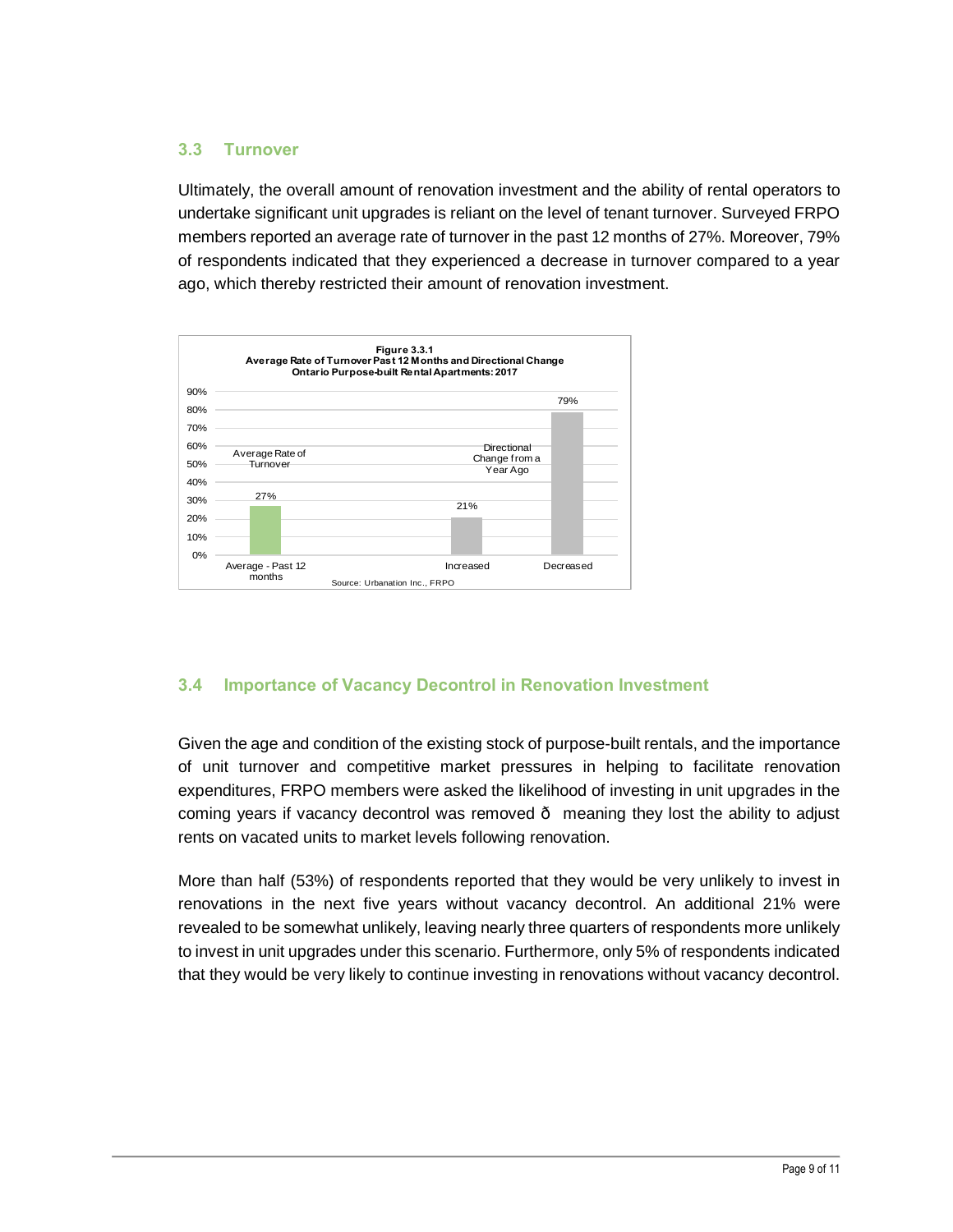#### **3.3 Turnover**

Ultimately, the overall amount of renovation investment and the ability of rental operators to undertake significant unit upgrades is reliant on the level of tenant turnover. Surveyed FRPO members reported an average rate of turnover in the past 12 months of 27%. Moreover, 79% of respondents indicated that they experienced a decrease in turnover compared to a year ago, which thereby restricted their amount of renovation investment.



### **3.4 Importance of Vacancy Decontrol in Renovation Investment**

Given the age and condition of the existing stock of purpose-built rentals, and the importance of unit turnover and competitive market pressures in helping to facilitate renovation expenditures, FRPO members were asked the likelihood of investing in unit upgrades in the coming years if vacancy decontrol was removed  $\cdot$  meaning they lost the ability to adjust rents on vacated units to market levels following renovation.

More than half (53%) of respondents reported that they would be very unlikely to invest in renovations in the next five years without vacancy decontrol. An additional 21% were revealed to be somewhat unlikely, leaving nearly three quarters of respondents more unlikely to invest in unit upgrades under this scenario. Furthermore, only 5% of respondents indicated that they would be very likely to continue investing in renovations without vacancy decontrol.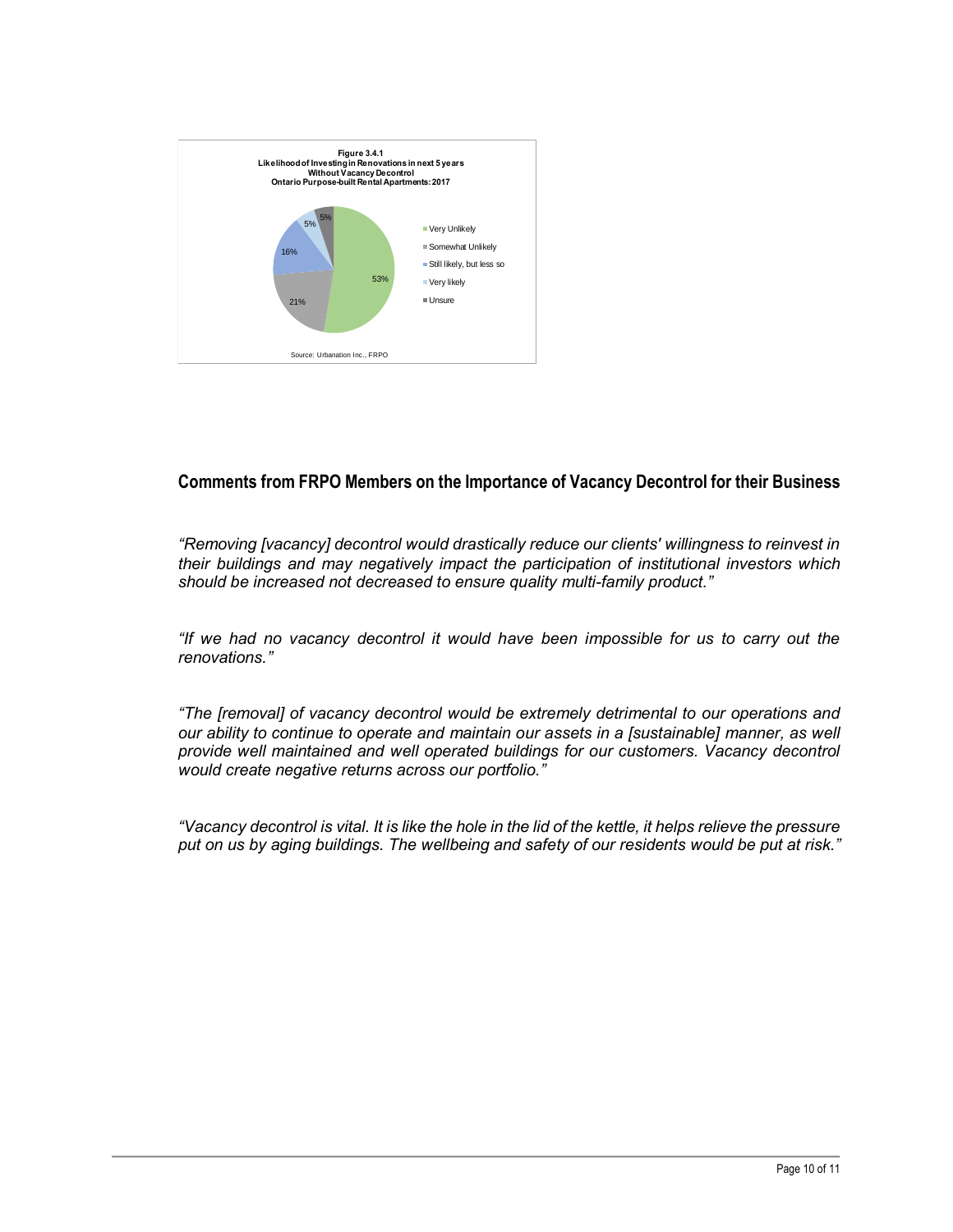

#### **Comments from FRPO Members on the Importance of Vacancy Decontrol for their Business**

*"Removing [vacancy] decontrol would drastically reduce our clients' willingness to reinvest in their buildings and may negatively impact the participation of institutional investors which should be increased not decreased to ensure quality multi-family product."*

*"If we had no vacancy decontrol it would have been impossible for us to carry out the renovations."*

*"The [removal] of vacancy decontrol would be extremely detrimental to our operations and our ability to continue to operate and maintain our assets in a [sustainable] manner, as well provide well maintained and well operated buildings for our customers. Vacancy decontrol would create negative returns across our portfolio."*

*"Vacancy decontrol is vital. It is like the hole in the lid of the kettle, it helps relieve the pressure put on us by aging buildings. The wellbeing and safety of our residents would be put at risk."*